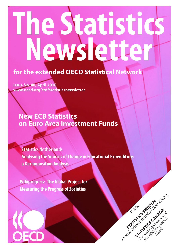# **The Statistics Newsletter**

### **for the extended OECD Statistical Network**

 **Issue No. 48, April 2010 [www.oecd.org/std/statisticsnewsletter](http://www.oecd.org/std/statisticsnewsletter)**

# **New ECB Statistics on Euro Area Investment Funds**

**Statistics Netherlands Analysing the Sources of Change in Educational Expenditure: a Decomposition Analysis**

PLUS.

Towards Efficient Statistical Data Editions

STATISTICal **CANADA**<br>Gierri Statistical CANADA or<br>Cierri Statistical CANADA **CS Statistical Adjustment and State**<br>Int Statistical Adjustment and<br>**Int State Religions** Fconomic<br>Seasonal Kifying Fends

*Trends*

**Wikiprogress: The Global Project for Measuring the Progress of Societies** 

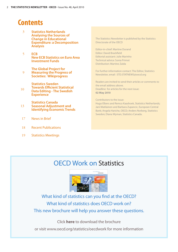# **Contents**

- 3 **Statistics Netherlands Analysing the Sources of Change in Educational Expenditure: a Decomposition Analysis**
- 5 **ECB New ECB Statistics on Euro Area Investment Funds**
- 9 **The Global Project for Measuring the Progress of Societies: Wikiprogress**

10 **Statistics Sweden Towards Efficient Statistical Data Editing - The Swedish Experience** 

- 13 **Statistics Canada Seasonal Adjustment and Identifying Economic Trends**
- 17 News in Brief
- 18 Recent Publications
- 19 Statistics Meetings

The Statistics Newsletter is published by the Statistics Directorate of the OECD

Editor-in-chief: Martine Durand Editor: David Brackfield Editorial assistant: Julie Marinho Technical advice: Sonia Primot Distribution: Martine Zaïda

For further information contact: The Editor, Statistics Newsletter, email : [STD.STATNEWS@oecd.org](mailto:STD.STATNEWS%40OECD.ORG%20?subject=STD%20Newsletter%20)

Readers are invited to send their articles or comments to the email address above. Deadline for articles for the next issue: **02 May 2010**

### Contributors to the issue:

Hugo Elbers and Remco Kaashoek, Statistics Netherlands; Jani Matilainen and Barbara Zupancic, European Central Bank; Angela Hariche, OECD; Anders Norberg, Statistics Sweden; Diana Wyman, Statistics Canada.

### OECD Work on Statistics



What kind of statistics can you find at the OECD? What kind of statistics does OECD work on? This new brochure will help you answer these questions.

Click **[here](http://www.oecd.org/dataoecd/18/49/44652140.pdf)** to download the brochure

or visit www.oecd.org/statistics/oecdwork for more information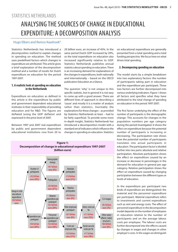### STATISTICS NETHERLANDS ANALYSING THE SOURCES OF CHANGE IN EDUCATIONAL EXPENDITURE: A DECOMPOSITION ANALYSIS

### Hugo Elbers and Remco Kaashoek\*

Statistics Netherlands has introduced a decomposition method to explain changes in spending on education. The method uses predefined factors which changes in expenditure are attributed. This article gives a brief explanation of the decomposition method and a number of results for Dutch expenditure on education for the period 1997-2007.

### **1. A realistic look at spending on education in the Netherlands**

Expenditure on education as defined in this article is the expenditure by public and government dependent educational institutes in their responsibility of providing education and for R&D. The figures are deflated (using the GDP deflator) and expressed in the price level of 2007.

Between 1997 and 2007 real expenditure by public and government dependent educational institutions rose from 20 to 29 billion euro, an increase of 45%. In the same period Dutch GDP increased by 29%, so the total expenditure on education also increased significantly relative to GDP. Statistics Netherlands publishes annual statistics about spending on education. There is an increasing demand for explanations of the changes in expenditures, both nationally and internationally – based on the OECD publication Education at a Glance.

The question 'why' is not unique to this specific statistic, but in general it is not easy to come up with a good answer. There are different lines of approach in describing a 'cause' and mostly it is a matter of analysis rather than statistics. Inevitably the explanations for these changes – as provided by Statistics Netherlands at least – had to be fairly superficial. To provide some more in-depth insight, Statistics Netherlands has introduced a decomposition model with a standard set of indicators which influence the changes in spending on education. Statistics on educational expenditure are generally presented from a total spending and a total funding perspective. We focus here on what drives total spending.

### **2. Decomposing spending on education**

The model starts by a simple breakdown into two explanatory factors: the number of participants taking part in education and the expenditure per participant. These two factors are further decomposed into various underlying indicators. Figure 1 shows all factors and specifies what they have attributed to the total change of spending on education in the period 1997-2007.

The first factor underlying the effect of the number of participants is the demographic change. This accounts for changes in the population numbers per age category during the period investigated. It shows the effect on expenditure because the potential number of participants is increasing or decreasing. The participation rate shows how the potential number of participants translates into actual participants in education. The participation factor is divided further into two parts: absolute and relative participation. Absolute participation shows the effect on expenditure caused by an increase or decrease in percentages in the demand for education in general per age category. Relative participation shows the effect on expenditure caused by changing participation between the different types or levels of education.

In the expenditure per participant two kinds of expenditure are distinguished: the material and the personnel expenditure per participant. Material expenditure refers to investments and current expenditure such as rent and energy costs. The effect of personnel expenditure in the decomposition model depends on the number of employees in education relative to the number of participants and on the average labour costs per employee. The labour costs are further decomposed into the effects caused by changes in wages and changes in other employer's costs. In the wages we distinguish

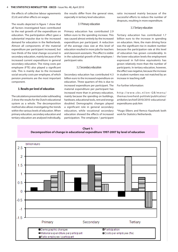#### 4 **THE STATISTICS NEWSLETTER - OECD -** Issue No. 48, April 2010

the effects of collective labour agreements (CLA) and other effects on wages.

The results depicted in figure 1 show that all factors investigated have contributed to the real growth of the expenditure on education. The participation effect gave a substantial impulse due to the increased demand for education in the Netherlands. Almost all components of the material expenditure per participant increased, but two thirds of the total change occurred in secondary education, mainly because of the increased current expenditure in general secondary education. The rising costs per employee (FTE) also played a significant role. This is mainly due to the increased social security costs per employee, of which pension premiums are the most important component.

### **3. Results per level of education**

The calculations presented under subheading 2 show the results for the Dutch educational system as a whole. The decomposition method also allows investigating the trends within the various levels of education. When primary education, secondary education and tertiary education are analysed individually, the results differ from the general view, especially in tertiary level education.

#### 3.1 Primary education

Primary education has contributed 2.9 billion euro to the spending increase. This was caused almost entirely by the increased expenditure per participant. A reduction of the average class size at this level of education resulted in more jobs for teachers and classroom assistants. The effect is visible in the substantial growth of the employee / participant ratio.

#### 3.2 Secondary education

Secondary education has contributed 4.3 billion euro to the increased expenditure on education. Three quarters of this is due to increased expenditure per participant. The material expenditure per participant has increased more than in primary education, mainly because the spending on buildings, hardware, educational tools, rent and energy doubled. Demographic changes played a significant role in general secondary education, while vocational secondary education showed the effects of increased participation. The employee / participant

ratio increased mainly because of the successful efforts to reduce the number of dropouts, resulting in more expenditure.

#### 3.3 Tertiary education

Tertiary education has contributed 1.7 billion euro to the increase in spending on education. Here, the main driving force was the significant rise in student number because the participation rate at this level of education has grown considerably. In the lower education levels the employment expressed in full-time equivalents has grown relatively more than the number of participants. In tertiary education, however, the effect was negative, because the increase in student numbers was not matched by an increase in teaching staff.

#### For further information:

http://www.cbs.nl/en-GB/menu/ themas/overheid-politiek/publicaties/ artikelen/archief/2010/2010-educationalexpenditures-pub.htm

\*Hugo Elbers and Remco Kaashoek both work for Statistics Netherlands.



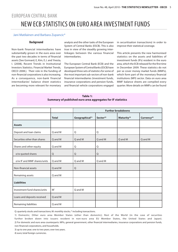### EUROPEAN CENTRAL BANK NEW ECB STATISTICS ON EURO AREA INVESTMENT FUNDS

### Jani Matilainen and Barbara Zupancic\*

### **Background**

Non-bank financial intermediaries have substantially grown in the euro area over the past two decades in terms of financial assets [See Gonnard, E, Kim, E.J. and Ynesta, I. (2008), Recent Trends in Institutional Investors Statistics. Financial Market Trends, OECD 2008.]. Their role in the funding of non-financial corporations is also increasing. As a consequence, non-bank financial intermediaries' balance sheet statistics are becoming more relevant for monetary

analysis and the other tasks of the European System of Central Banks (ESCB). This is also true in view of the steadily growing interlinkages between the various financial intermediaries.

The European Central Bank (ECB) and the European System of Central Banks (ESCB) have developed three sets of statistics for some of the most important sub-sectors of non-bank financial intermediaries (investment funds, insurance corporations and pension funds, and financial vehicle corporations engaged

in securitisation transactions) in order to improve their statistical coverage.

This article presents the new harmonised statistics on the assets and liabilities of investment funds (IFs) resident in the euro area, which the ECB released for the first time in December 2009. These statistics do not per se cover money market funds (MMFs), which form part of the monetary financial institutions (MFI) sector. Data on euro area MMF balance sheets are compiled every quarter. More details on MMFs can be found

### **Table 1: Summary of published euro area aggregates for IF statistics**

|                              |              | <b>Further breakdowns</b>   |              |                         |                         |
|------------------------------|--------------|-----------------------------|--------------|-------------------------|-------------------------|
|                              | <b>Total</b> | Geographical <sup>(1)</sup> | Sector $(2)$ | Maturity <sup>(3)</sup> | Currency <sup>(4)</sup> |
| <b>Assets</b>                |              |                             |              |                         |                         |
| Deposit and loan claims      | Q and M      | Q                           | Q            |                         |                         |
| Securities other than shares | Q and M      | Q and M                     | Q and M      | Q and M                 | Q and M                 |
| Shares and other equity      | Q and M      | Q                           | Q            |                         |                         |
| o/w quoted shares            | Q            | Q                           | Q            |                         |                         |
| o/w IF and MMF shares/units  | Q and M      | O and M                     | Q and M      |                         |                         |
| Non-financial assets         | Q and M      | Q                           |              |                         |                         |
| Remaining assets             | Q and M      |                             |              |                         |                         |
| <b>Liabilities</b>           |              |                             |              |                         |                         |
| Investment fund shares/units | $M^*$        | Q and M                     |              |                         |                         |
| Loans and deposits received  | Q and M      |                             |              |                         |                         |
| Remaining liabilities        | Q and M      |                             |              |                         |                         |

Q: quarterly stocks and transactions; M: monthly stocks; \* including transactions.

1) Domestic; Other euro area Member States (other than domestic); Rest of the World (in the case of securities further broken down into issuers resident in non-euro area EU Member States, the United States and Japan). 2) For domestic and euro area counterparts: MFIs, general government, other financial intermediaries, insurance corporations and pension funds, non-financial corporations, and households.

3) up to one year; one to two years; over two years.

4) euro; total foreign currencies.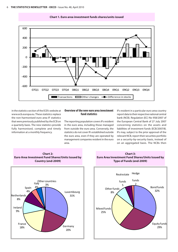



in the statistics section of the ECB's website at www.ecb.europa.eu. These statistics replace the non-harmonised euro area IF statistics that were previously published by the ECB on a quarterly basis. The new statistics provide fully harmonised, complete and timely information at a monthly frequency.

### **Overview of the new euro area investment fund statistics**

The reporting population covers IFs resident in the euro area, including those managed from outside the euro area. Conversely, the statistics do not cover IFs established outside the euro area, even if they are operated by management companies resident in the euro area.

IFs resident in a particular euro area country report data to their respective national central bank (NCB). Regulation (EC) No 958/2007 of the European Central Bank of 27 July 2007 concerning statistics on the assets and liabilities of investment funds (ECB/2007/8). IFs may, subject to the prior approval of the relevant NCB, report their securities portfolio on a security-by-security basis, instead of on an aggregated basis. The NCBs then





**Chart 3:**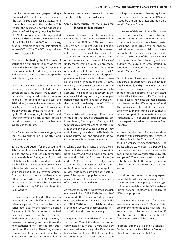compile the necessary aggregates using a common ESCB securities reference database (the Centralised Securities Database), or a compatible local securities database. This reduces the costs for reporting agents and gives more flexibility in aggregating the data. The NCBs compile nationally aggregated statistics and send them to the ECB. Guideline of the ECB of 1 August 2007 on monetary, financial institutions and markets statistics (recast) (ECB/2007/9). The ECB then produces euro area aggregates.

The data published by the ECB consist of statistics on various categories of assets held and liabilities issued by IFs resident in the euro area, broken down by residency and economic sector of the counterpart, by maturity and by currency.

The data cover key variables at a monthly frequency, while more detailed data are provided at a quarterly frequency. In particular, the quarterly dataset contains financial transactions for each asset and liability item, whereas the monthly dataset is mainly based on stock data and transactions are only available for the shares/units issued by IFs. Work is ongoing in the NCBs and further information, such as more detailed monthly transaction data, may become available in the future.

Table 1 summarises the euro area aggregates that are published on a monthly and quarterly basis.

Euro area aggregates for the assets and liabilities of IFs are available for total funds and for the following six sub-categories: equity funds, bond funds, mixed funds, real estate funds, hedge funds and other funds (i.e. breakdown by investment policy). Each sub-sector is further broken down into open and closed-end funds (i.e. by type of fund). The classification criteria for different types of IF are set out in Guideline ECB/2007/9, with further guidance in the Manual on investment fund statistics, May 2009, available on the ECB's website.

The statistics are published with a time lag of around one and a half months after the reference period. The harmonised time series date back to the reference period December 2008. Further non-harmonised quarterly euro area IF statistics are available for the reference periods 1998Q4 to 2009Q2. However, the coverage and definition of the new statistics differ from the previously published IF statistics. Therefore, a direct comparison of the new and old statistics is not always possible. Estimated longer

historical time series consistent with the new statistics will be released in due course.

### **Some characteristics of the euro area investment fund industry**

The value of euro area IFs' total outstanding shares/units stood at EUR 4,959 billion at the end of 2009, up 23% from a year earlier when it stood at EUR 4,038 billion. This development reflects both increases in the prices of assets held by euro area IFs, accounting for around 14 percentage points of the increase, and net issuances of IF shares/ units, representing around 9 percentage points. Significant net issuances were observed in the last three quarters of 2009 (see Chart 1). These include sizeable, specific purchases of investment fund shares by two Dutch pension funds in June and July 2009. However, the net issuances remain positive even without taking these operations into account. This suggests a recovery in the euro area IF industry, following a prolonged period of net redemptions in IF shares/units that started in the third quarter of 2007 and lasted until the first quarter of 2009.

The countries with the largest IF sector, in terms of IF shares/units outstanding, are Luxembourg, Germany and France, which together accounted for 69% of the total euro area at the end of 2009 (see Chart 2). They are followed by Ireland and the Netherlands, adding a further 17% and bringing these five countries to 86% of the euro area total.

Breaking down the issuance of euro area IF shares/units by investment policy shows that bond, equity and mixed funds accounted for a total of 86% of IF shares/units at the end of 2009 (see Chart 3). Hedge funds accounted for a mere 2% of total IF shares/ units. As mentioned above, a hedge fund resident outside the euro area does not form part of the reporting population, even if it is managed from within the euro area, which is often the case in this industry.

As regards the most relevant types of asset, euro area IFs held EUR 2,379 billion worth of shares and other equity (including shares/ units issued by IFs and money market funds) and EUR 2,076 billion worth of debt securities at the end of 2009, which accounted for 44% and 39% of total assets respectively.

The geographical breakdown of the issuers shows that 57% of the shares and other equity held by euro area IFs were issued by euro area residents, mainly other IFs and nonfinancial corporations, with both accounting for around 40% (see Charts 4 and 5). Of the holdings of shares and other equity issued by residents outside the euro area, 44% were issued by the United States and non-euro area EU Member States.

In the case of debt securities, 68% of those held by euro area IFs were issued by euro area residents. Approximately half were government bonds and more than a quarter bank bonds. Bonds issued by other financial institutions and non-financial corporations accounted for another quarter (see Charts 6 and 7). Two-thirds of the debt securities held by euro area IFs and issued by residents outside the euro area were issued by residents in the United States and non-euro area EU Member States.

Dissemination of investment fund statistics The euro area aggregates are published in regular monthly and quarterly ECB statistical press releases. The quarterly press releases contain detailed information on the assets held and liabilities issued by IFs. The monthly press releases show data on total IF shares/ units issued for the different types of fund. The press releases also include data on euro area money market fund balance sheets, which form part of the monetary financial institutions (MFI) population. These enable users to perform analyses on the entire fund industry.

A more detailed set of euro area data, together with explanatory notes, is released to the public in the "Statistics" section of the ECB's website: www.ecb.europa.eu. The Statistical Data Warehouse – the ECB's online data delivery service for statistics – can be consulted on the website: http://sdw.ecb. europa.eu/. The updated statistics are also published in the ECB's Monthly Bulletin, tables 2.9 and 2.10 in the "Euro area statistics" section.

In addition to the euro area aggregates, national data on IF shares/units issued broken down by investment policy and by type of fund are available on the ECB's website. Further national results are published by the NCBs as appropriate.

In parallel to the new statistics for the euro area, several non-euro area EU Member States are implementing the same new statistical standards for collecting and compiling IF statistics as part of their preparation for future membership of the euro area.

\*Barbara Zupancic is Senior Economist-Statistician and Jani Matilainen is Economist-Statistician, European Central Bank.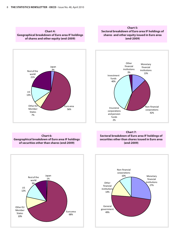**Chart 4: Geographical breakdown of Euro area IF holdings of shares and other equity (end-2009)**













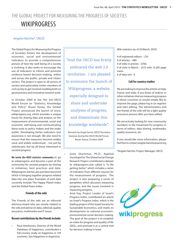### THE GLOBAL PROJECT FOR MEASURING THE PROGRESS OF SOCIETIES **WIKIPROGRESS**

### Angela Hariche\*, OECD

The Global Project for Measuring the Progress of Societies fosters the development of economic, social and environmental indicators to provide a comprehensive picture of how the well-being of a society is evolving. It also seeks to encourage the use of indicators to inform and promote evidence-based decision-making, within and across the public, private and citizen sectors. The project is open to all sectors of society and particularly invites members of civil society to get involved, building both on good practice and innovative research work.

In October 2009 at the The 3rd OECD World Forum on "Statistics, Knowledge and Policy" Busan Korea, the Global Project announced the launch of www. wikiprogress.org, which provides a unique forum for sharing data and analysis on the measurement of environmental, social and economic well-being and communicating these tools to policy makers and the wider public. Developing better indicators and awareness is not enough. We also need to ensure that the measures become widely used, and widely understood – not just by statisticians, but by all those interested in societal progress.

**We invite the OECD statistics community** to go to wikiprogress and become a part of the community for societal progress by sharing in initiatives, best practices and data. [Wikiprogress.stat h](http://webtestdmz.oecd.org/wbos/)as also just been launched which is bringing together progress-related data into one place. Examples of such data currently include The Happy Planet Index and the Global Peace Index.

### **Friends of the wiki**

The Friends of the wiki are an informal advisory board who are closely related to the wiki and advise on data, editorial, quality assurance, multimedia and IT issues.

### **Recent contributions by the friends include:**

Ruut Veenhoven, Director of the World [Database of Happiness](http://worlddatabaseofhappiness.eur.nl/), contributed a full country study on happiness in 159 countries. See [Happiness in Argentina](http://wikiprogress.org/w/index.php/Happiness_in_Argentina).

"And the OECD has firmly embraced the web 2.0 revolution. I am pleased to announce the launch of Wikiprogress, a website especially designed to share and undertake analyses of progress, and disseminate this knowledge worldwide".

Remarks by Angel Gurría, OECD Secretary-General, during the OECD World Forum, Busan, Korea, October 2009

Gene Shackman, Ph.D., Applied Sociologist for The Global Social Change Research Project contributed a dataset to wikiprogress.stat called is "[Is life](http://wikiprogress.org/w/index.php/Is_Life_Getting_Better) [getting better](http://wikiprogress.org/w/index.php/Is_Life_Getting_Better)" which includes a series of indicators from different sources for the measurement of progress. The project is also preparing a series of pamphlets which discusses measuring progress, and the issues involved in measuring progress.

Anat Itay, Project Leader of [Israel's](http://wikiprogress.org/w/index.php/Israel) [Progress Index,](http://wikiprogress.org/w/index.php/Israel) contributed an article on Israel's Progress Index, which is the leading project of the Israeli Society for Sustainable Economics, and marks its development to national economicenvironmental-social decision making. The goal of the project is to establish an index for progress and quality of life (QOL), and promote it as a central tool for decision making in Israel.

Wiki statistics (as of 29 March, 2010)

# of registered editors – 210 # of articles – 489 # of edits in articles – 6766 # of visits in March – 2515 with 15,205 page views # of data sets - 6

### **Call for country studies**

We are looking to improve the articles on Italy, France and India. If you know of indices or other initiatives that are measuring progress in these countries or would simply like to improve the page, please log in (or register) and start editing. The administrators and the friends of the wiki will do a light quality assurance process after you have edited.

We are actively looking for new community members in the movement for progress in terms of editors, data sharing, multimedia, quality assurance, etc.

If you would like more information, please feel free to contact angela.hariche@oecd.org

\*Angela Hariche, Project Manager, OECD.

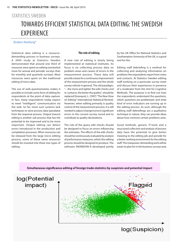# STATISTICS SWEDEN TOWARDS EFFICIENT STATISTICAL DATA EDITING: THE SWEDISH **EXPERIENCE**

Anders Norberg\*

Statistical data editing is a resourcedemanding process in business surveys. A 2004 study at Statistics Sweden demonstrated that around one third of resources were spent on editing (somewhat more for annual and periodic surveys than for monthly and quarterly surveys). Most resources were spent on the traditional editing of micro data.

The use of web-questionnaires makes it possible to include some form of editing for respondents at the point of data capture. In fact, many respondents today expect to meet "intelligent" communication via the web. So far, most such systems lack techniques to store process data (paradata) from the response process. Output (macro) editing is another sub-process that has the potential to be improved and to be more important. Output editing can detect errors introduced in the production and compilation processes. When resources can be released from the large micro editing process, some of these same resources should be invested into these two types of editing.

### **The role of editing**

A new role of editing is slowly being implemented at statistical institutes. Its focus is on collecting process data on problem areas and causes of errors in the measurement process. These data will provide a basis for a continuous improvement of the measurement process and the whole survey vehicle in general. The old paradigm, "…the more and tighter the edit checks and re-contacts, the better the quality", should be replaced [Granquist, L. (1997) "The New View on Editing" International Statistical Review]. However, when editing primarily is quality control of the measurement process, it is still needed to adjust (change/correct) significant errors in the current survey round and to contribute to quality declarations.

The role of the query edit checks should be designed to focus on errors influencing the estimates. The effects of the edit checks should be continuously evaluated by analysis of performance measures, which the editing process should be designed to produce. The software SNOWDON-X developed jointly

by the UK Office for National Statistics and Southampton University of the UK, is a good tool for this.

Editing staff debriefing is a method for collecting and analysing information on problems the respondents report from notes and contacts. At Statistics Sweden editing staff working on a particular survey meet and discuss their experiences in presence of a moderator from the Unit for Cognitive Methods. The purpose is to find out how the respondents understand the questions, which questions are problematic and what kind of error indicators are turning up in the editing process. As such, although the editing staff debriefings are a qualitative technique in nature, they can provide ideas about how common certain problems arise.

Good methods, generic IT-tools and a structured collection and analysis of process data have the potential to give better meaning to the editing job and provide for a better working environment for the editing staff. This manpower-demanding work will be easier to plan for in the business surveys area

log(Suspicion)

**Simultaneous significance editing of foreign trade statistics by suspicion and potential impact**

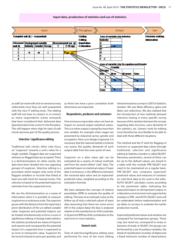

### **Input data, production of statistics and use of statistics**

as staff can work with and on several surveys collectively once they are well acquainted with the new IT editing tools. The editing staff will not have to contact or re-contact as many respondents (some annoyed) that have considered their delivered data (questionnaire) to be correct in the first place. This will happen when high hit rates of edit checks become part of the quality process.

### **Selective / significance editing**

Traditional edit checks often only focus on "suspicion" towards a unit's value for a single variable. Flagged data are suspected whereas un-flagged data are accepted. There is a dichotomisation (in other words, the data have been divided into two opposing groups) of suspicion. Selective editing is a procedure which targets only some of the flagged variables or records that failed at least one edit check for manual review. This selection is based on the potential impact on estimates from the suspected error.

We see the dichotomisation as a waste of information when it is possible to measure suspicion on a continuous scale. The suspicion grows with the distance from the expected a priori distribution of the un-edited variable value. Suspicion and potential impacts can be treated simultaneously to form a score in significance editing. In foreign trade statistics the statistics produced are values of imports and exports and consequently the potential impact of a suspected error is expressed as an error in transaction value. Suspicion for the record is based on price per quantity, and

as these two have a poor correlation both dimensions are important.

### **Respondents, producers and customers**

One erroneous input data value can have an impact on several output statistical values. This is so when output is spread by more than one variable, for example when wages are presented by industrial sector, gender and occupation. Here, as in design in general, it is necessary that the national statistics institute can assess the quality demands of each output table from the users point of view.

Suspicion on a data value yjkl can be estimated by a variety of robust methods and from the saved edited "cold" data. The potential impact on statistical output, if input data is erroneous, is the difference between the received data value and an expected/ predicted value, weighted according to the estimation formula.

We have adopted the concept of relative pseudobias (RPB) to evaluate the quality of editing. This bias of an estimate is due to the follow-up of only a selected subset of input data (assuming that there are some errors left in the output data): the bias is analysed relative to the standard error of the estimate. A 20 percent RPB has little contribution to the total error in most statistics.

#### **Generic tools**

Tests of selective/significance editing were performed for nine of the most editing intensive business surveys in 2007 at Statistics Sweden. We saw likely efficiency gains and likely cost reductions. We also realised that the introduction of new methods demand intensive testing in every specific survey because of the variation between the surveys regarding data structure, users demands of the statistics, etc. Generic tools for editing must therefore be very flexible to be able to deal with these different situations.

The method and the IT tools for flagging of incorrect or suspected data values through traditional, selective and significance editing at Statistics Sweden is called SELEKT. Necessary parameters, several of these can be set to the default values, are stored in a table with the module PRE-SELEKT and need to be maintained on a regular basis. PRE-SELEKT also computes expected/ predicted values and measures of variation on cold deck data to be used in the edits. AUTO-SELEKT calculates scores according to the parameter table, indicating the expected impact on all important output. In a laboratory environment and supported by modules in PRE- and AUTO-SELEKT, tests will be undertaken before implementation and up-dates to surveys to evaluate the earlier production rounds.

Expected/predicted values and variation are computed for homogenous groups. These may, but need not, correspond to strata or domains of study. In SELEKT, the groups can be formed by a set of auxiliary variables, the detail of classification (number of digits) and a fixed minimum number of observations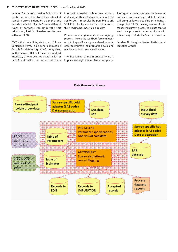#### 12 **THE STATISTICS NEWSLETTER - OECD -** Issue No. 48, April 2010

required for the computation. Estimation of totals, functions of totals and their estimated standard errors is done by a generic tool, outside the 'selekt' family. Several different types of software can undertake this calculation, Statistics Sweden uses its own software: CLAN.

EDIT is the tool editing staff use to followup flagged items. To be generic it must be flexible for different types of survey data. In this sense EDIT will have a standard interface, a windows look with a lot of tabs, functionality that presents all of the

information needed such as previous data and analysis thereof, register data look-up ability, etc. It must also be possible to ask SELEKT to check a specific batch of data and this needs to be undertaken quickly.

Process data are generated in an ongoing process. They can be used both for continuous monitoring and for analysis and evaluation in order to improve the production cycle and reach an optimal resource allocation.

The first version of the SELEKT software is in place to begin the implemented phase.

Prototype versions have been implemented and tested in a few surveys to date. Experience will bring us forward to efficient editing. A new project, TRITON, aiming to make all tools for several current processes in data capture and data processing communicate with others has just started at Statistics Sweden.

\*Anders Norberg is a Senior Statistician at Statistics Sweden.

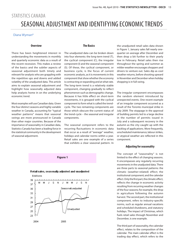# STATISTICS CANADA SEASONAL ADJUSTMENT AND IDENTIFYING ECONOMIC TRENDS

### Diana Wyman\*

### **Overview**

There has been heightened interest in understanding the movements in monthly and quarterly economic data as a result of the recent recession. This makes a review of the basics and the subtler aspects of seasonal adjustment both timely and relevant for analysts who are grappling with the repetitive ups and downs and added volatility of the unadjusted data. This article aims to explain seasonal adjustment and highlight how seasonally adjusted data help analysts home in on the underlying economic trend.

Most examples will use Canadian data. Given the four distinct seasons and highly variable weather in Canada, accounting for "typical weather patterns" means that seasonal swings are more pronounced in Canada than other major countries. Because of the importance of seasonality in Canadian data, Statistics Canada has been a leading force in the statistical community in the development of seasonal adjustment.

### **The Basics**

The unadjusted data can be broken down into four elements: the long-term trend (T), the cyclical component (C), the irregular component (I) and the seasonal component (S). Of these, the cyclical component, or business cycle, is the focus of current economic analysts, as it is movements in this component that show whether the economy is contracting or expanding and at what rate. The long-term trend is a relatively stable component, changing gradually to reflect phenomenon such as demographic change. Because it has little effect on short-term movements, it is grouped with the cyclical component to form what is called the trendcycle. The two remaining components are those which obscure the current status of the trend-cycle – the seasonal and irregular components.

The seasonal component refers to the recurring fluctuations in economic data that occur as a result of "average" weather, holidays and calendar norms within a year. Retail sales are one example of a series that exhibits a clear seasonal pattern. In the unadjusted retail sales data shown in Figure 1, January sales fall nearly onequarter on average after December and then drop a bit further to their yearly low in February. Retail sales then rise throughout the spring and summer as milder weather encourages shoppers and drivers to venture out. Sales dip as cool weather returns, before shooting upward in November and December when holiday shopping is in full swing.

The irregular component encompasses the random element introduced by unexpected events. One recent example of an irregular component occurred as a result of the Toronto municipal strike in July 2009. The stoppage in the approval of building permits led to a large decline in the number of permits issued in July and a subsequent recovery in the autumn as the city caught up with the backlog of applications. More frequently, unscheduled maintenance, labour strikes, or atypical weather are reflected in this component.

#### **Adjusting for seasonality**

The concept of "seasonality" is not limited to the effect of changing seasons. It encompasses any regularly recurring movements in the unadjusted data. There are three parts to seasonal patterns: the climatic (weather-related) effect; the institutional component; and the calendar effect. Only the first part, the climatic effect, reflects the change in economic activity resulting from recurring weather changes of the four seasons; for example, the drop in agriculture following the autumn harvest. The second part, the institutional component, refers to industry-specific norms, such as regular annual vacations and scheduled shutdowns, and statutory holidays. The impact of Christmas, which fuels retail sales through November and December, is one example.

The third part of seasonality, the calendar effect, relates to the composition of the calendar. The main calendar effect is the trading day effect, which refers to the

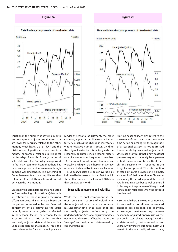



#### **Figure 2a Figure 2b**



variation in the number of days in a month (for example, unadjusted retail sales data are lower for February relative to the other months, which have 30 or 31 days) and the distribution of particular week days in a month. For example, retail sales are highest on Saturdays. A month of unadjusted retail sales data with five Saturdays as opposed to four may seem to indicate that there has been an improvement in sales even though demand was unchanged. The switching of Easter between March and April is another calendar effect, shifting sales and output between the two months.

Seasonally adjusted data are the unadjusted (or 'raw' in the lingo of statisticians) data with an estimate of these regularly recurring effects removed. This estimate is based on the patterns observed in the past. Seasonal adjustment entails estimating the usual monthly seasonal pattern, which is reflected in the seasonal factor. The seasonal factor is expressed as a ratio of the monthly seasonally adjusted data and the monthly unadjusted data for that month. This is the case only for series for which a multiplicative model of seasonal adjustment, the most common, applies. An additive model is used for series such as the change in inventories where negative numbers occur. Dividing the original series by this factor yields the seasonally adjusted series. Seasonal factors for a given month can be greater or less than 1.0. For example, retail sales in December are typically 15% higher than those in an average month, as indicated by its seasonal factor of 1.15. January's sales are below average, as indicated by its seasonal factor of 0.82, which shows that sales are usually about 18% less than an average month.

#### **Seasonally adjustment and volatility**

While the seasonal component is the most consistent source of volatility in the unadjusted data, there is a common misunderstanding that data that are seasonally adjusted reflect only the underlying trend. Seasonal adjustment does not remove all seasonal effects but rather the 'average' seasonal pattern determined by observing the past.

Shifting seasonality, which refers to the movement of a seasonal pattern into a new time period or a change in the magnitude of a seasonal pattern, is not addressed immediately by seasonal adjustment. One reason for this is that a new seasonal pattern may not obviously be a pattern until it recurs several times. Until then, shifting seasonality is reflected in the irregular component. The introduction of retail gift cards provides one example. As a result of their adoption as Christmas presents, gift cards dampened the rise of retail sales in December as well as the fall in January as the purchase of the gift card is included in retail sales when the gift card is redeemed.

Also, though there is a weather component to seasonality, not all weather-related changes are seasonal. For example, a prolonged heat wave may increase seasonally adjusted energy use as the seasonal factor reflects 'average' weather as determined by that observed in past years. Any divergence from this norm will remain in the seasonally adjusted data,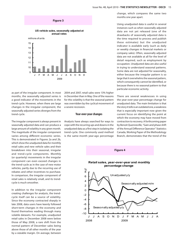

as part of the irregular component. In most months, the seasonally adjusted series is a good indicator of the movements in the trend-cycle. However, when there are large changes in the irregular component, the seasonally adjusted series diverges from the trend-cycle.

The irregular component is always present in seasonally adjusted data and can produce a large amount of volatility in any given month. The magnitude of the irregular component varies among different economic series. This is demonstrated in Figures 2a and 2b, which show the unadjusted data for monthly retail sales and new vehicle sales and their breakdown into their seasonal, irregular and trend-cycle components. Monthly (or quarterly) movements in the irregular component can even exceed changes in the trend-cycle as in the case of new motor vehicles, partly due to the recurring use of rebates and other incentives to purchase. In comparison, the irregular component of retail sales is relatively small, and its trendcycle is much smoother.

In addition to the irregular component creating challenges for analysts, the trendcycle itself can be a source of volatility. Since the economy contracted sharply in late 2008, data users have keenly followed short-term changes in the economy and found themselves wading through many volatile datasets. For example, unadjusted retail sales in December 2008 were below those of May 2008, a rare shift from the normal pattern of December sales being above those of all other months of the year by a sizeable margin. On average, between

2004 and 2007, retail sales were 13% higher in December than in May. One of the reasons for this volatility is that the seasonal pattern was overridden by the cyclical movement of a severe recession.

### **Year-over-year changes**

Analysts have always searched for ways to cope with the recurring ups and downs in the unadjusted data as a first step in isolating the trend-cycle. One commonly used method is the same-month year-ago percentage change, which compares the same two months one year apart.

Using unadjusted data is useful in several instances such as when seasonally adjusted data are not yet released (one of the drawbacks of seasonally adjusted data is the time required to process and publish these estimates) but the unadjusted indicator is available early (such as daily or weekly changes in financial markets or company sales). Often, seasonally adjusted data are not available at all for the level of detail required, such as employment by occupation. Unadjusted data are also useful in trying to understand seasonal patterns. Some data are not adjusted for seasonality, either because the irregular pattern is so large that it overwhelms the seasonal pattern, which consequently cannot be identified, or because there is no seasonal pattern to that particular economic activity.

There are several weaknesses in using the year-over-year percentage change for unadjusted data. The main limitation is that the story it tells is an outdated one, a weakness that is especially important now given the current focus on identifying the point at which the economy may have moved from contraction to recovery. A forthcoming paper by Benoit Quenneville, "Gain and phase shift of the Annual Difference Operator" Statistics Canada, Working Paper of the Methodology Branch, demonstrates that the trend of the

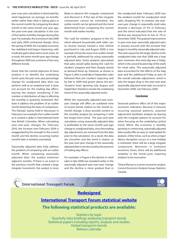#### 16 **THE STATISTICS NEWSLETTER - OECD -** Issue No. 48, April 2010

year-over-year calculation is dominated by what happened, on average, six months earlier rather than what is taking place in the current month. By comparing the latest month to the same month one year ago, the year-over-year calculation is the sum of the twelve monthly changes during that year. For example, the economy in late 2008 and early 2009 contracted sharply. Since the spring of 2009, the Canadian economy has stabilized and begun improving, with moderate gains observed in most series. As a result, the same-month year-ago change throughout 2009 was a mixture of two very different trends.

Given that the central objective of most analysts is to identify the underlying trend-cycle, the year-over-year percentage change for unadjusted data does not perform well as an analytical tool. It does not account for the trading day effect, leaving the analyst wondering if the number or distribution of days is affecting the monthly or quarterly movement. Nor does it address the problem of an outlier month distorting the basis of comparison. The Olympic Games held in Vancouver in February is an example of an outlier month as it created a spike in international travel into British Columbia. When calculating year-over-year changes for February 2010, the increase over February 2009 is exaggerated by the strength in the current month and the decline occurring twelve months later is similarly overstated.

Seasonally adjusted data help address the problem of comparing with an outlier month. When comparing seasonally adjusted data, the analyst examines adjacent months. If there is an event in the previous month that created a large irregular movement, the analyst is more likely to observe this irregular component and discount it. If the size of the irregular component cannot be estimated, the outlier month can be ignored and the trend determined from comparing the current month with earlier months.

The 'cash for clunkers' program in the US, which allowed households with older cars to receive money toward a new vehicle purchased in July and August 2009, is one example of how the issue of an outlier month is partially addressed by using seasonally adjusted data. Some analysts speculated that sales would spike during the 'cash for clunkers' program and then sharply retreat as demand dried up. However, as shown in Figure 3, after a small dip in September, sales followed their pre-clunkers trajectory and by late in 2009 had grown above the pre- 'clunkers' level. Ignoring July, August, and September therefore reveals the underlying trend of the seasonally adjusted series.

While the seasonally adjusted year-overyear change still offers an outdated view of recent trends relative to the month-tomonth change, it does provide context to the monthly analysis by comparing it with the longer-term trend. The year-over-year calculation using seasonally adjusted data is preferable to the same-month year-ago change in unadjusted data, since the trading day adjustments are removed from the data prior to the calculation. As a result, the data are smoother and the trend is clearer, as the year-over-year change in the seasonally adjusted data is not obscured by the presence of trading day effects.

For example, in Figure 4 the decline in retail sales in late 2008 was revealed earlier in the seasonally adjusted year-over-year change and the decline is more gradual than in

the unadjusted data. February 2009 was the weakest month for unadjusted retail sales, dropping 9%. In contrast, the yearover-year change in seasonally retail sales showed a decrease of 5% in February and the trend indicated that the rate of decline was slowing from its low of -7% in December 2008. The gradual improvement in year-over-year seasonally adjusted sales in January accords with the increase that began in monthly seasonally adjusted sales. The main reason for the larger decline in the unadjusted data was that 2008 was a leap year; moreover, this extra day was a Friday, which is the second busiest day of the week for retail sales. The seasonally adjusted data accounted for the effects of the leap year and the additional Friday as part of the overall calendar adjustment, which is why the largest drop in the year-over-year seasonally adjusted retail sales occurred in December 2008, not February 2009.

#### **Conclusion**

Seasonal patterns affect all of the major economic indicators. Because it removes recurring seasonal patterns, seasonal adjustment facilitates analysis by leaving only the irregular pattern to account for when focusing on the underlying cyclical trend. When the economy is steadily growing or contracting, seasonally adjusted data usually offer an easy-to-read update for analysts. Other times, such as when a major labour disruption occurs or a new holiday is instituted, there will be a large irregular component. Moreover, in turbulent economic times, there will be additional volatility in the trend-cycle, requiring analysts to be innovative.

\*Diana Wyman is a senior economic analyst, Current Economic Analysis Group, Statistics Canada.

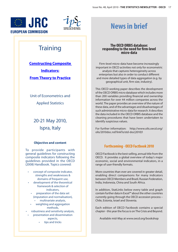



# **News in brief**

### **Training**

**[Constructing Composite](http://composite-indicators.jrc.ec.europa.eu/seminar_ispra_2010/ispra_2010.htm)** 

**[Indicators:](http://composite-indicators.jrc.ec.europa.eu/seminar_ispra_2010/ispra_2010.htm)**

**[From Theory to Practice](http://composite-indicators.jrc.ec.europa.eu/seminar_ispra_2010/ispra_2010.htm)**

Unit of Econometrics and

Applied Statistics

### 20-21 May 2010, Ispra, Italy

### **Objective and content**

To provide participants with general guidelines for constructing composite indicators following the guidelines provided in the OECD (2008) Handbook. Topics covered:

- concept of composite indicator, strengths and weaknesses & domains of frequent use.
- development of the theoretical framework & selection of indicators,
	- preparation of the data set (imputation and normalisation), multivariate analysis,
	- weighting and aggregation methods,
- robustness and sensitivity analysis,
	- presentation and dissemination aspects,
		- tips and tricks

### **The OECD ORBIS database: responding to the need for firm-level micro-data**

Firm-level micro-data have become increasingly important in OECD activities not only for econometric analysis that captures heterogeneity across enterprises but also in order to conduct different and more detailed types of data aggregation (e.g. by geographical unit, firm size, industry).

This OECD working paper describes the development of the OECD ORBIS micro database which includes more than 200 variables providing financial and ownership information for over 44 million companies across the world. The paper provides an overview of the nature of these data, and of the advantages and disadvantages of such administrative micro-data for research. It describes the data included in the OECD ORBIS database and the cleaning procedures that have been undertaken to identify suspicious values.

For further information: [http://www.olis.oecd.org/](http://www.olis.oecd.org/olis/2010doc.nsf/linkTo/std-doc(2010)1) [olis/2010doc.nsf/linkTo/std-doc\(2010\)1](http://www.olis.oecd.org/olis/2010doc.nsf/linkTo/std-doc(2010)1)

### **Forthcoming - OECD Factbook 2010**

OECD Factbook is the best-selling, annual title from the OECD. It provides a global overview of today's major economic, social and environmental indicators, in a range of user-friendly formats.

More countries than ever are covered in greater detail, enabling direct comparisons for many indicators between OECD Members and Brazil, Russian Federation, India, Indonesia, China and South Africa.

In addition, StatLinks below every table and graph contain further data in Excel™ about the other countries currently going through the OECD accession process – Chile, Estonia, Israel and Slovenia.

Each edition of OECD Factbook contains a special chapter - this year the focus is on The Crisis and Beyond.

Available mid-May at [www.oecd.org/bookshop](http://www.oecd.org/bookshop)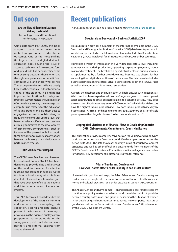### **Out soon**

**Are the New Millennium Learners Making the Grade?** 

Technology Use and Educational Performance in PISA 2006

Using data from PISA 2006, this book analyzes to what extent investments in technology enhance educational outcomes. One of the most striking findings is that the digital divide in education goes beyond the issue of access to technology. A new second form of digital divide has been identified: the one existing between those who have the right competencies to benefit from computer use, and those who do not. These competencies and skills are closely linked to the economic, cultural and social capital of the student. This finding has important implications for policy and practice. Governments should make an effort to clearly convey the message that computer use matters for the education of young people and do their best to engage teachers and schools in raising the frequency of computer use to a level that becomes relevant. If schools and teachers are really committed to the development of 21st century competencies, such an increase will happen naturally. And only in these circumstances will clear correlations between technology use and educational performance emerge.

### **TALIS 2008 Technical Report**

The OECD's new Teaching and Learning International Survey (TALIS) has been designed to provide data and analyses on the conditions needed for effective teaching and learning in schools. As the first international survey with this focus, it seeks to fill important information gaps that have been identified at the national and international levels of education systems.

This TALIS Technical Report describes the development of the TALIS instruments and methods used in sampling, data collection, scaling and data analysis phases of the first round of the survey. It also explains the rigorous quality control programme that operated during the survey process, which included numerous partners and external experts from around the world.

# **Recent publications**

All OECD publications can be ordered on line at: [www.oecd.org/bookshop](http://www.oecd.org/bookshop)

#### **Structural and Demographic Business Statistics 2009**

This publication provides a summary of the information available in the OECD Structural and Demographic Business Statistics (SDBS) database. Key economic variables are presented at the International Standard of Industrial Classification, Revision 3 (ISIC) 2-digit level, for all industries and OECD member countries.

It provides a wealth of information at a very detailed sectoral level including: turnover, value-added, production, operating surplus, employment, labour costs and investment. The breakdown by industrial sector, including services, is supplemented by a further breakdown into business size classes, further enhancing the analytical capabilities of the database. The database also includes business demography statistics such as business birth, death and survival rates as well as the number of high-growth enterprises.

As such, the database and the publication will help answer such questions as: Which sectors have experienced positive/negative growth in recent years? What contribution do small businesses make to economic activity? How does the structure of businesses vary across OECD countries? Which industrial sectors have the highest labour productivity? How does labour productivity vary by business size? Are small and medium enterprises (SMEs) more or less profitable per employee than large businesses? Which sectors invest most?

### **Geographical Distribution of Financial Flows to Developing Countries 2010: Disbursements, Commitments, Country Indicators**

This publication provides comprehensive data on the volume, origin and types of aid and other resource flows to around 150 developing countries for the period 2004-2008. The data show each country's intake of official development assistance and well as other official and private funds from members of the OECD's Development Assistance Committee, multilateral agencies and other key donors. Key development indicators are given for reference.

### **Atlas of Gender and Development How Social Norms Affect Gender Equality in non-OECD Countries**

Illustrated with graphics and maps, the Atlas of Gender and Development gives readers a unique insight into the impact of social institutions - traditions, social norms and cultural practices - on gender equality in 124 non-OECD countries.

The Atlas of Gender and Development is an indispensable tool for development practitioners, policy makers, academics and the wider public. It provides detailed country notes, maps and graphics describing the situation of women in 124 developing and transition countries using a new composite measure of gender inequality - the Social Institutions and Gender Index (SIGI) - developed by the OECD Development Centre.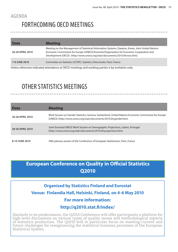# AGENDA FORTHCOMING OECD MEETINGS

| <b>Date</b>      | <b>Meeting</b>                                                                                                                                                                                                                                                                |
|------------------|-------------------------------------------------------------------------------------------------------------------------------------------------------------------------------------------------------------------------------------------------------------------------------|
| 26-29 APRIL 2010 | Meeting on the Management of Statistical Information Systems, Daejeon, Korea, Joint United Nations<br>Economic Commission for Europe (UNECE)/Eurostat/Organization for Economic Cooperation and<br>Development (OECD) (http://www.unece.org/stats/documents/2010.04.msis.htm) |
| 7-8 JUNE 2010    | Committee on Statistics (CSTAT), Statistics Directorate, Paris, France                                                                                                                                                                                                        |

Unless otherwise indicated attendance at OECD meetings and working parties is by invitation only.

# OTHER STATISTICS MEETINGS

| <b>Date</b>      | <b>Meeting</b>                                                                                                                                                             |
|------------------|----------------------------------------------------------------------------------------------------------------------------------------------------------------------------|
| 26-28 APRIL 2010 | Work Session on Gender Statistics, Geneva, Switzerland, United Nations Economic Commission for Europe<br>(UNECE) (http://www.unece.org/stats/documents/2010.04.gender.htm) |
| 28-30 APRIL 2010 | Joint Eurostat/UNECE Work Session on Demographic Projections, Lisbon, Portugal<br>(http://www.unece.org/stats/documents/2010.04.projections.htm)                           |
| 8-10 JUNE 2010   | 58th plenary session of the Conference of European Statisticians, Paris, France                                                                                            |

### **European Conference on Quality in Official Statistics Q2010**

### **Organised by Statistics Finland and Eurostat**

**Venue: Finlandia Hall, Helsinki, Finland, on 4-6 May 2010**

### **For more information:**

### **http://q2010.stat.fi/index/**

Similarly to its predecessors, the Q2010 Conference will offer participants a platform for high-level discussions on various types of quality issues and methodological aspects of statistics production. The Q2010 will in particular focus on meeting current and future challenges for reengineering the statistical business processes of the European Statistical System.